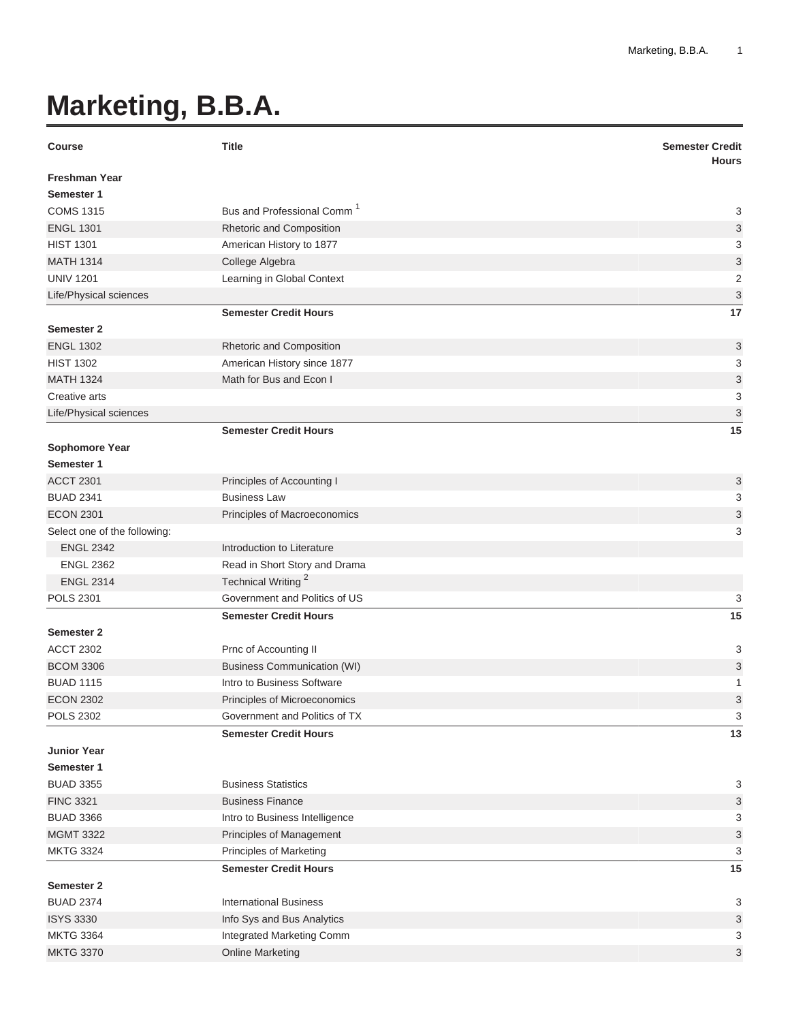## **Marketing, B.B.A.**

| <b>Course</b>                | <b>Title</b>                           | <b>Semester Credit</b><br><b>Hours</b> |
|------------------------------|----------------------------------------|----------------------------------------|
| <b>Freshman Year</b>         |                                        |                                        |
| Semester 1                   |                                        |                                        |
| <b>COMS 1315</b>             | Bus and Professional Comm <sup>1</sup> | 3                                      |
| <b>ENGL 1301</b>             | Rhetoric and Composition               | 3                                      |
| <b>HIST 1301</b>             | American History to 1877               | 3                                      |
| <b>MATH 1314</b>             | College Algebra                        | 3                                      |
| <b>UNIV 1201</b>             | Learning in Global Context             | $\overline{2}$                         |
| Life/Physical sciences       |                                        | 3                                      |
|                              | <b>Semester Credit Hours</b>           | 17                                     |
| Semester 2                   |                                        |                                        |
| <b>ENGL 1302</b>             | Rhetoric and Composition               | 3                                      |
| <b>HIST 1302</b>             | American History since 1877            | 3                                      |
| <b>MATH 1324</b>             | Math for Bus and Econ I                | 3                                      |
| Creative arts                |                                        | 3                                      |
| Life/Physical sciences       |                                        | 3                                      |
|                              | <b>Semester Credit Hours</b>           | 15                                     |
| Sophomore Year               |                                        |                                        |
| Semester 1                   |                                        |                                        |
| <b>ACCT 2301</b>             | Principles of Accounting I             | 3                                      |
| <b>BUAD 2341</b>             | <b>Business Law</b>                    | 3                                      |
| <b>ECON 2301</b>             | Principles of Macroeconomics           | 3                                      |
| Select one of the following: |                                        | 3                                      |
| <b>ENGL 2342</b>             | Introduction to Literature             |                                        |
| <b>ENGL 2362</b>             | Read in Short Story and Drama          |                                        |
| <b>ENGL 2314</b>             | Technical Writing <sup>2</sup>         |                                        |
| <b>POLS 2301</b>             | Government and Politics of US          | 3                                      |
|                              | <b>Semester Credit Hours</b>           | 15                                     |
| <b>Semester 2</b>            |                                        |                                        |
| <b>ACCT 2302</b>             | Prnc of Accounting II                  | 3                                      |
| <b>BCOM 3306</b>             | <b>Business Communication (WI)</b>     | 3                                      |
| <b>BUAD 1115</b>             | Intro to Business Software             | 1                                      |
| <b>ECON 2302</b>             | Principles of Microeconomics           | 3                                      |
| <b>POLS 2302</b>             | Government and Politics of TX          | 3                                      |
|                              | <b>Semester Credit Hours</b>           | 13                                     |
| <b>Junior Year</b>           |                                        |                                        |
| Semester 1                   |                                        |                                        |
| <b>BUAD 3355</b>             | <b>Business Statistics</b>             | 3                                      |
| <b>FINC 3321</b>             | <b>Business Finance</b>                | 3                                      |
| <b>BUAD 3366</b>             | Intro to Business Intelligence         | 3                                      |
| <b>MGMT 3322</b>             | Principles of Management               | 3                                      |
| <b>MKTG 3324</b>             | <b>Principles of Marketing</b>         | 3                                      |
|                              | <b>Semester Credit Hours</b>           | 15                                     |
| <b>Semester 2</b>            |                                        |                                        |
| <b>BUAD 2374</b>             | <b>International Business</b>          | 3                                      |
| <b>ISYS 3330</b>             | Info Sys and Bus Analytics             | 3                                      |
| <b>MKTG 3364</b>             | Integrated Marketing Comm              | 3                                      |
| <b>MKTG 3370</b>             | <b>Online Marketing</b>                | 3                                      |